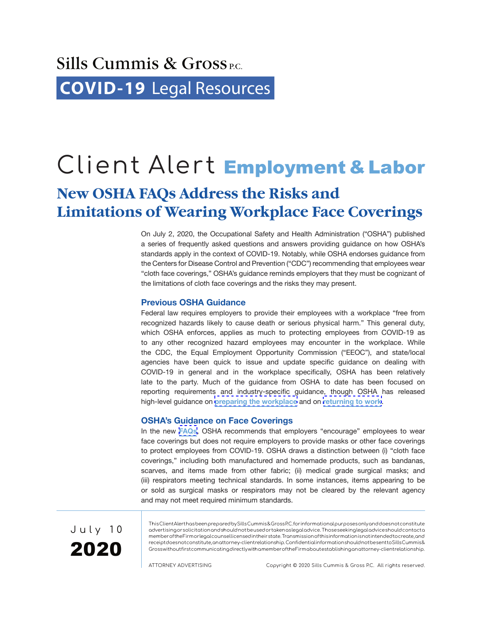# Client Alert Employment & Labor

### **New OSHA FAQs Address the Risks and Limitations of Wearing Workplace Face Coverings**

On July 2, 2020, the Occupational Safety and Health Administration ("OSHA") published a series of frequently asked questions and answers providing guidance on how OSHA's standards apply in the context of COVID-19. Notably, while OSHA endorses guidance from the Centers for Disease Control and Prevention ("CDC") recommending that employees wear "cloth face coverings," OSHA's guidance reminds employers that they must be cognizant of the limitations of cloth face coverings and the risks they may present.

### **Previous OSHA Guidance**

Federal law requires employers to provide their employees with a workplace "free from recognized hazards likely to cause death or serious physical harm." This general duty, which OSHA enforces, applies as much to protecting employees from COVID-19 as to any other recognized hazard employees may encounter in the workplace. While the CDC, the Equal Employment Opportunity Commission ("EEOC"), and state/local agencies have been quick to issue and update specific guidance on dealing with COVID-19 in general and in the workplace specifically, OSHA has been relatively late to the party. Much of the guidance from OSHA to date has been focused on reporting requirements and industry-specific guidance, though OSHA has released high-level guidance on **[preparing the workplace](https://www.osha.gov/Publications/OSHA3990.pdf)** and on **[returning to work](https://www.osha.gov/Publications/OSHA4045.pdf)**.

### **OSHA's Guidance on Face Coverings**

In the new **[FAQs](https://www.osha.gov/SLTC/covid-19/covid-19-faq.html)**, OSHA recommends that employers "encourage" employees to wear face coverings but does not require employers to provide masks or other face coverings to protect employees from COVID-19. OSHA draws a distinction between (i) "cloth face coverings," including both manufactured and homemade products, such as bandanas, scarves, and items made from other fabric; (ii) medical grade surgical masks; and (iii) respirators meeting technical standards. In some instances, items appearing to be or sold as surgical masks or respirators may not be cleared by the relevant agency and may not meet required minimum standards.



This Client Alert has been prepared by Sills Cummis & Gross P.C. for informational purposes only and does not constitute advertising or solicitation and should not be used or taken as legal advice. Those seeking legal advice should contact a member of the Firm or legal counsel licensed in their state. Transmission of this information is not intended to create, and receipt does not constitute, an attorney-client relationship. Confidential information should not be sent to Sills Cummis & Gross without first communicating directly with a member of the Firm about establishing an attorney-client relationship.

ATTORNEY ADVERTISING Copyright © 2020 Sills Cummis & Gross P.C. All rights reserved.